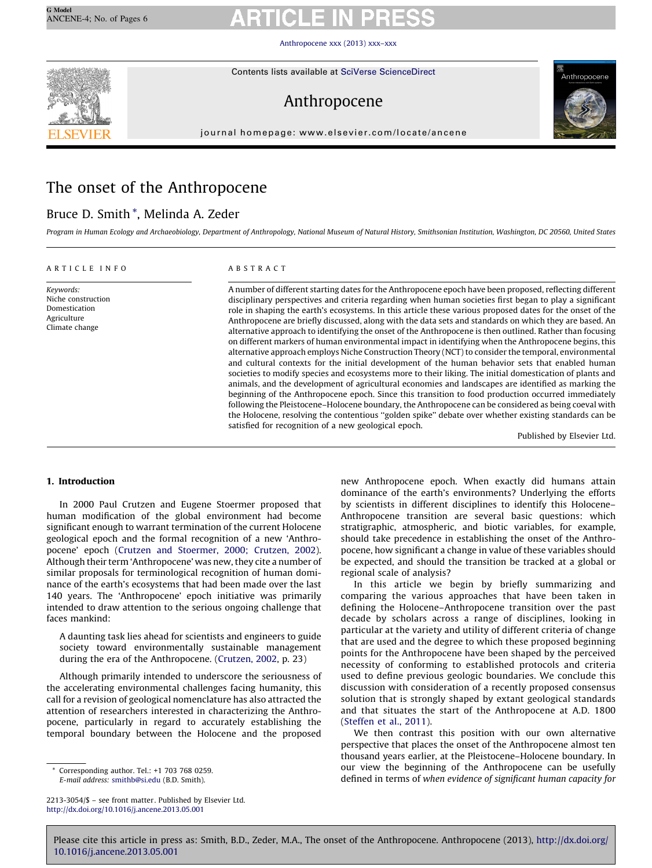[Anthropocene](http://dx.doi.org/10.1016/j.ancene.2013.05.001) xxx (2013) xxx–xxx



Contents lists available at SciVerse [ScienceDirect](http://www.sciencedirect.com/science/journal/aip/22133054)

# Anthropocene



journal homepage: www.elsevier.com/locate/ancene

# The onset of the Anthropocene

# Bruce D. Smith \*, Melinda A. Zeder

Program in Human Ecology and Archaeobiology, Department of Anthropology, National Museum of Natural History, Smithsonian Institution, Washington, DC 20560, United States

### A R T I C L E I N F O

Keywords: Niche construction Domestication Agriculture Climate change

# A B S T R A C T

A number of different starting dates for the Anthropocene epoch have been proposed, reflecting different disciplinary perspectives and criteria regarding when human societies first began to play a significant role in shaping the earth's ecosystems. In this article these various proposed dates for the onset of the Anthropocene are briefly discussed, along with the data sets and standards on which they are based. An alternative approach to identifying the onset of the Anthropocene is then outlined. Rather than focusing on different markers of human environmental impact in identifying when the Anthropocene begins, this alternative approach employs Niche Construction Theory (NCT) to consider the temporal, environmental and cultural contexts for the initial development of the human behavior sets that enabled human societies to modify species and ecosystems more to their liking. The initial domestication of plants and animals, and the development of agricultural economies and landscapes are identified as marking the beginning of the Anthropocene epoch. Since this transition to food production occurred immediately following the Pleistocene–Holocene boundary, the Anthropocene can be considered as being coeval with the Holocene, resolving the contentious ''golden spike'' debate over whether existing standards can be satisfied for recognition of a new geological epoch.

Published by Elsevier Ltd.

### 1. Introduction

In 2000 Paul Crutzen and Eugene Stoermer proposed that human modification of the global environment had become significant enough to warrant termination of the current Holocene geological epoch and the formal recognition of a new 'Anthropocene' epoch (Crutzen and [Stoermer,](#page-5-0) 2000; Crutzen, 2002). Although their term 'Anthropocene' was new,they cite a number of similar proposals for terminological recognition of human dominance of the earth's ecosystems that had been made over the last 140 years. The 'Anthropocene' epoch initiative was primarily intended to draw attention to the serious ongoing challenge that faces mankind:

A daunting task lies ahead for scientists and engineers to guide society toward environmentally sustainable management during the era of the Anthropocene. [\(Crutzen,](#page-5-0) 2002, p. 23)

Although primarily intended to underscore the seriousness of the accelerating environmental challenges facing humanity, this call for a revision of geological nomenclature has also attracted the attention of researchers interested in characterizing the Anthropocene, particularly in regard to accurately establishing the temporal boundary between the Holocene and the proposed

2213-3054/\$ – see front matter. Published by Elsevier Ltd. <http://dx.doi.org/10.1016/j.ancene.2013.05.001>

new Anthropocene epoch. When exactly did humans attain dominance of the earth's environments? Underlying the efforts by scientists in different disciplines to identify this Holocene– Anthropocene transition are several basic questions: which stratigraphic, atmospheric, and biotic variables, for example, should take precedence in establishing the onset of the Anthropocene, how significant a change in value of these variables should be expected, and should the transition be tracked at a global or regional scale of analysis?

In this article we begin by briefly summarizing and comparing the various approaches that have been taken in defining the Holocene–Anthropocene transition over the past decade by scholars across a range of disciplines, looking in particular at the variety and utility of different criteria of change that are used and the degree to which these proposed beginning points for the Anthropocene have been shaped by the perceived necessity of conforming to established protocols and criteria used to define previous geologic boundaries. We conclude this discussion with consideration of a recently proposed consensus solution that is strongly shaped by extant geological standards and that situates the start of the Anthropocene at A.D. 1800 ([Steffen](#page-5-0) et al., 2011).

We then contrast this position with our own alternative perspective that places the onset of the Anthropocene almost ten thousand years earlier, at the Pleistocene–Holocene boundary. In our view the beginning of the Anthropocene can be usefully defined in terms of when evidence of significant human capacity for

Corresponding author. Tel.: +1 703 768 0259. E-mail address: [smithb@si.edu](mailto:smithb@si.edu) (B.D. Smith).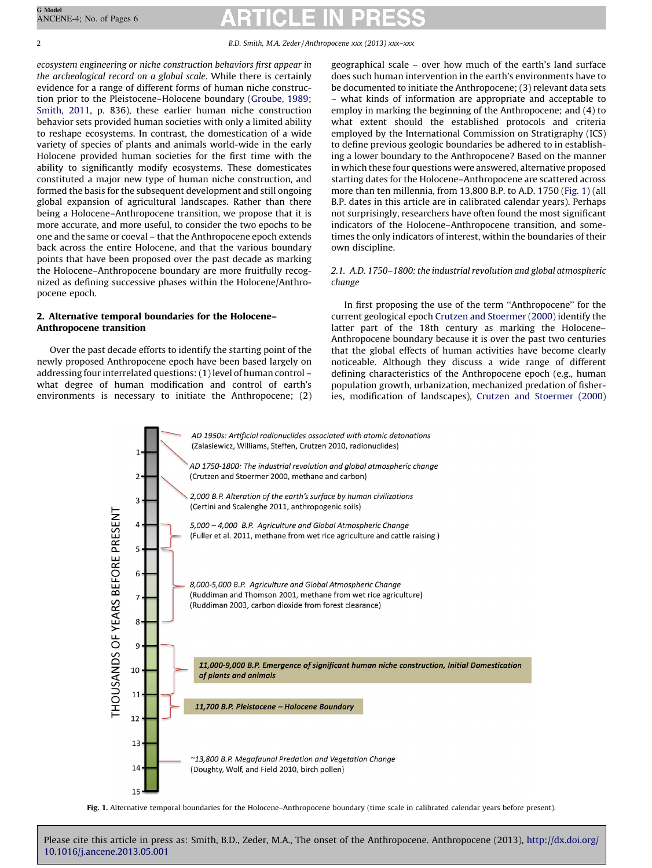### 2 B.D. Smith, M.A. Zeder/ Anthropocene xxx (2013) xxx–xxx

ecosystem engineering or niche construction behaviors first appear in the archeological record on a global scale. While there is certainly evidence for a range of different forms of human niche construction prior to the Pleistocene–Holocene boundary ([Groube,](#page-5-0) 1989; [Smith,](#page-5-0) 2011, p. 836), these earlier human niche construction behavior sets provided human societies with only a limited ability to reshape ecosystems. In contrast, the domestication of a wide variety of species of plants and animals world-wide in the early Holocene provided human societies for the first time with the ability to significantly modify ecosystems. These domesticates constituted a major new type of human niche construction, and formed the basis for the subsequent development and still ongoing global expansion of agricultural landscapes. Rather than there being a Holocene–Anthropocene transition, we propose that it is more accurate, and more useful, to consider the two epochs to be one and the same or coeval – that the Anthropocene epoch extends back across the entire Holocene, and that the various boundary points that have been proposed over the past decade as marking the Holocene–Anthropocene boundary are more fruitfully recognized as defining successive phases within the Holocene/Anthropocene epoch.

# 2. Alternative temporal boundaries for the Holocene– Anthropocene transition

Over the past decade efforts to identify the starting point of the newly proposed Anthropocene epoch have been based largely on addressing four interrelated questions:(1) level of human control – what degree of human modification and control of earth's environments is necessary to initiate the Anthropocene; (2) geographical scale – over how much of the earth's land surface does such human intervention in the earth's environments have to be documented to initiate the Anthropocene; (3) relevant data sets – what kinds of information are appropriate and acceptable to employ in marking the beginning of the Anthropocene; and (4) to what extent should the established protocols and criteria employed by the International Commission on Stratigraphy (ICS) to define previous geologic boundaries be adhered to in establishing a lower boundary to the Anthropocene? Based on the manner in which these four questions were answered, alternative proposed starting dates for the Holocene–Anthropocene are scattered across more than ten millennia, from 13,800 B.P. to A.D. 1750 (Fig. 1) (all B.P. dates in this article are in calibrated calendar years). Perhaps not surprisingly, researchers have often found the most significant indicators of the Holocene–Anthropocene transition, and sometimes the only indicators of interest, within the boundaries of their own discipline.

### 2.1. A.D. 1750–1800: the industrial revolution and global atmospheric change

In first proposing the use of the term ''Anthropocene'' for the current geological epoch Crutzen and [Stoermer](#page-5-0) (2000) identify the latter part of the 18th century as marking the Holocene– Anthropocene boundary because it is over the past two centuries that the global effects of human activities have become clearly noticeable. Although they discuss a wide range of different defining characteristics of the Anthropocene epoch (e.g., human population growth, urbanization, mechanized predation of fisheries, modification of landscapes), Crutzen and [Stoermer](#page-5-0) (2000)



Fig. 1. Alternative temporal boundaries for the Holocene-Anthropocene boundary (time scale in calibrated calendar years before present).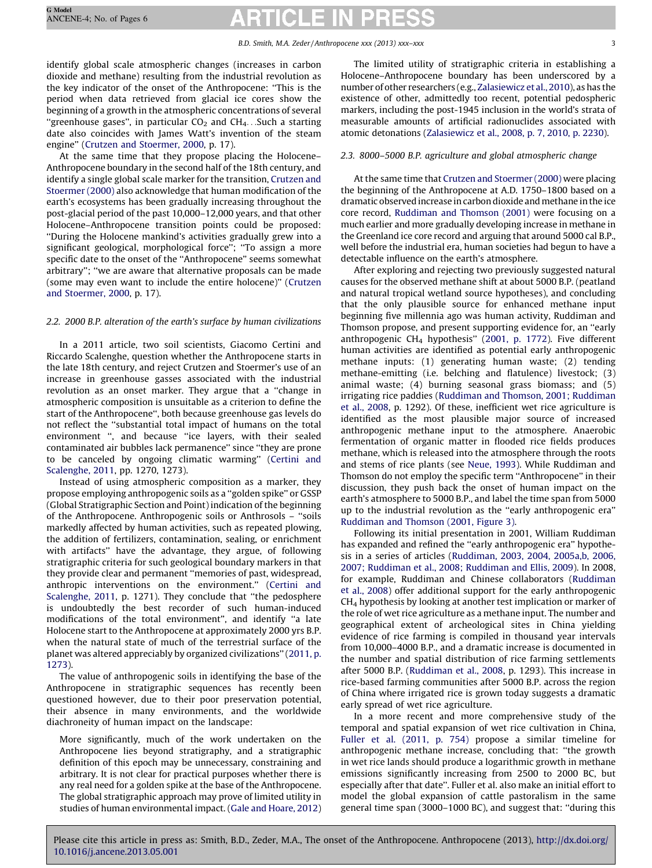### B.D. Smith, M.A. Zeder/Anthropocene xxx (2013) xxx–xxx 33

identify global scale atmospheric changes (increases in carbon dioxide and methane) resulting from the industrial revolution as the key indicator of the onset of the Anthropocene: ''This is the period when data retrieved from glacial ice cores show the beginning of a growth in the atmospheric concentrations of several "greenhouse gases", in particular  $CO<sub>2</sub>$  and  $CH<sub>4</sub>$ . . Such a starting date also coincides with James Watt's invention of the steam engine'' (Crutzen and [Stoermer,](#page-5-0) 2000, p. 17).

At the same time that they propose placing the Holocene– Anthropocene boundary in the second half of the 18th century, and identify a single global scale marker for the transition, [Crutzen](#page-5-0) and [Stoermer](#page-5-0) (2000) also acknowledge that human modification of the earth's ecosystems has been gradually increasing throughout the post-glacial period of the past 10,000–12,000 years, and that other Holocene–Anthropocene transition points could be proposed: ''During the Holocene mankind's activities gradually grew into a significant geological, morphological force''; ''To assign a more specific date to the onset of the ''Anthropocene'' seems somewhat arbitrary''; ''we are aware that alternative proposals can be made (some may even want to include the entire holocene)'' ([Crutzen](#page-5-0) and [Stoermer,](#page-5-0) 2000, p. 17).

# 2.2. 2000 B.P. alteration of the earth's surface by human civilizations

In a 2011 article, two soil scientists, Giacomo Certini and Riccardo Scalenghe, question whether the Anthropocene starts in the late 18th century, and reject Crutzen and Stoermer's use of an increase in greenhouse gasses associated with the industrial revolution as an onset marker. They argue that a ''change in atmospheric composition is unsuitable as a criterion to define the start of the Anthropocene'', both because greenhouse gas levels do not reflect the ''substantial total impact of humans on the total environment ", and because "ice layers, with their sealed contaminated air bubbles lack permanence'' since ''they are prone to be canceled by ongoing climatic warming'' [\(Certini](#page-5-0) and [Scalenghe,](#page-5-0) 2011, pp. 1270, 1273).

Instead of using atmospheric composition as a marker, they propose employing anthropogenic soils as a ''golden spike'' or GSSP (Global Stratigraphic Section and Point) indication of the beginning of the Anthropocene. Anthropogenic soils or Anthrosols – ''soils markedly affected by human activities, such as repeated plowing, the addition of fertilizers, contamination, sealing, or enrichment with artifacts'' have the advantage, they argue, of following stratigraphic criteria for such geological boundary markers in that they provide clear and permanent ''memories of past, widespread, anthropic interventions on the environment.'' [\(Certini](#page-5-0) and [Scalenghe,](#page-5-0) 2011, p. 1271). They conclude that ''the pedosphere is undoubtedly the best recorder of such human-induced modifications of the total environment'', and identify ''a late Holocene start to the Anthropocene at approximately 2000 yrs B.P. when the natural state of much of the terrestrial surface of the planet was altered appreciably by organized civilizations''([2011,](#page-5-0) p. [1273\)](#page-5-0).

The value of anthropogenic soils in identifying the base of the Anthropocene in stratigraphic sequences has recently been questioned however, due to their poor preservation potential, their absence in many environments, and the worldwide diachroneity of human impact on the landscape:

More significantly, much of the work undertaken on the Anthropocene lies beyond stratigraphy, and a stratigraphic definition of this epoch may be unnecessary, constraining and arbitrary. It is not clear for practical purposes whether there is any real need for a golden spike at the base of the Anthropocene. The global stratigraphic approach may prove of limited utility in studies of human environmental impact. (Gale and [Hoare,](#page-5-0) 2012)

The limited utility of stratigraphic criteria in establishing a Holocene–Anthropocene boundary has been underscored by a number of other researchers (e.g., [Zalasiewicz](#page-5-0) et al., 2010), as has the existence of other, admittedly too recent, potential pedospheric markers, including the post-1945 inclusion in the world's strata of measurable amounts of artificial radionuclides associated with atomic detonations [\(Zalasiewicz](#page-5-0) et al., 2008, p. 7, 2010, p. 2230).

# 2.3. 8000–5000 B.P. agriculture and global atmospheric change

At the same time that Crutzen and [Stoermer](#page-5-0) (2000) were placing the beginning of the Anthropocene at A.D. 1750–1800 based on a dramatic observed increase in carbon dioxide and methane in the ice core record, [Ruddiman](#page-5-0) and Thomson (2001) were focusing on a much earlier and more gradually developing increase in methane in the Greenland ice core record and arguing that around 5000 cal B.P., well before the industrial era, human societies had begun to have a detectable influence on the earth's atmosphere.

After exploring and rejecting two previously suggested natural causes for the observed methane shift at about 5000 B.P. (peatland and natural tropical wetland source hypotheses), and concluding that the only plausible source for enhanced methane input beginning five millennia ago was human activity, Ruddiman and Thomson propose, and present supporting evidence for, an ''early anthropogenic  $CH<sub>4</sub>$  hypothesis" ([2001,](#page-5-0) p. 1772). Five different human activities are identified as potential early anthropogenic methane inputs: (1) generating human waste; (2) tending methane-emitting (i.e. belching and flatulence) livestock; (3) animal waste; (4) burning seasonal grass biomass; and (5) irrigating rice paddies (Ruddiman and Thomson, 2001; [Ruddiman](#page-5-0) et al., [2008](#page-5-0), p. 1292). Of these, inefficient wet rice agriculture is identified as the most plausible major source of increased anthropogenic methane input to the atmosphere. Anaerobic fermentation of organic matter in flooded rice fields produces methane, which is released into the atmosphere through the roots and stems of rice plants (see [Neue,](#page-5-0) 1993). While Ruddiman and Thomson do not employ the specific term ''Anthropocene'' in their discussion, they push back the onset of human impact on the earth's atmosphere to 5000 B.P., and label the time span from 5000 up to the industrial revolution as the ''early anthropogenic era'' [Ruddiman](#page-5-0) and Thomson (2001, Figure 3).

Following its initial presentation in 2001, William Ruddiman has expanded and refined the ''early anthropogenic era'' hypothesis in a series of articles ([Ruddiman,](#page-5-0) 2003, 2004, 2005a,b, 2006, 2007; [Ruddiman](#page-5-0) et al., 2008; Ruddiman and Ellis, 2009). In 2008, for example, Ruddiman and Chinese collaborators [\(Ruddiman](#page-5-0) et al., [2008\)](#page-5-0) offer additional support for the early anthropogenic  $CH<sub>4</sub>$  hypothesis by looking at another test implication or marker of the role of wet rice agriculture as a methane input. The number and geographical extent of archeological sites in China yielding evidence of rice farming is compiled in thousand year intervals from 10,000–4000 B.P., and a dramatic increase is documented in the number and spatial distribution of rice farming settlements after 5000 B.P. [\(Ruddiman](#page-5-0) et al., 2008, p. 1293). This increase in rice-based farming communities after 5000 B.P. across the region of China where irrigated rice is grown today suggests a dramatic early spread of wet rice agriculture.

In a more recent and more comprehensive study of the temporal and spatial expansion of wet rice cultivation in China, Fuller et al. [\(2011,](#page-5-0) p. 754) propose a similar timeline for anthropogenic methane increase, concluding that: ''the growth in wet rice lands should produce a logarithmic growth in methane emissions significantly increasing from 2500 to 2000 BC, but especially after that date''. Fuller et al. also make an initial effort to model the global expansion of cattle pastoralism in the same general time span (3000–1000 BC), and suggest that: ''during this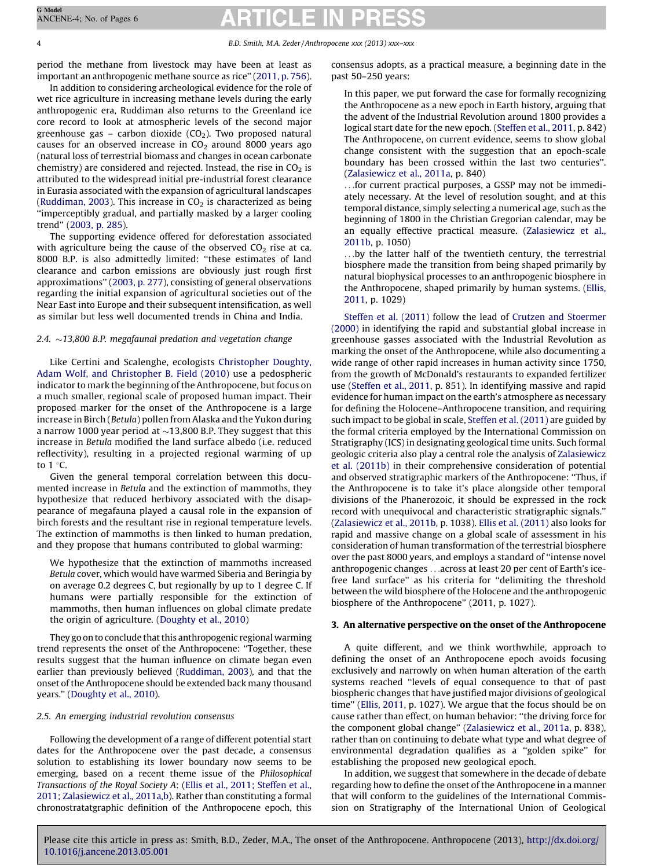B.D. Smith, M.A. Zeder/Anthropocene xxx (2013) xxx-xxx

period the methane from livestock may have been at least as important an anthropogenic methane source as rice'' [\(2011,](#page-5-0) p. 756).

In addition to considering archeological evidence for the role of wet rice agriculture in increasing methane levels during the early anthropogenic era, Ruddiman also returns to the Greenland ice core record to look at atmospheric levels of the second major greenhouse gas - carbon dioxide ( $CO<sub>2</sub>$ ). Two proposed natural causes for an observed increase in  $CO<sub>2</sub>$  around 8000 years ago (natural loss of terrestrial biomass and changes in ocean carbonate chemistry) are considered and rejected. Instead, the rise in  $CO<sub>2</sub>$  is attributed to the widespread initial pre-industrial forest clearance in Eurasia associated with the expansion of agricultural landscapes ([Ruddiman,](#page-5-0) 2003). This increase in  $CO<sub>2</sub>$  is characterized as being ''imperceptibly gradual, and partially masked by a larger cooling trend'' [\(2003,](#page-5-0) p. 285).

The supporting evidence offered for deforestation associated with agriculture being the cause of the observed  $CO<sub>2</sub>$  rise at ca. 8000 B.P. is also admittedly limited: ''these estimates of land clearance and carbon emissions are obviously just rough first approximations'' ([2003,](#page-5-0) p. 277), consisting of general observations regarding the initial expansion of agricultural societies out of the Near East into Europe and their subsequent intensification, as well as similar but less well documented trends in China and India.

# 2.4.  $\sim$ 13,800 B.P. megafaunal predation and vegetation change

Like Certini and Scalenghe, ecologists [Christopher](#page-5-0) Doughty, Adam Wolf, and [Christopher](#page-5-0) B. Field (2010) use a pedospheric indicator to mark the beginning of the Anthropocene, but focus on a much smaller, regional scale of proposed human impact. Their proposed marker for the onset of the Anthropocene is a large increase in Birch (Betula) pollen from Alaska and the Yukon during a narrow 1000 year period at  ${\sim}$ 13,800 B.P. They suggest that this increase in Betula modified the land surface albedo (i.e. reduced reflectivity), resulting in a projected regional warming of up to  $1^{\circ}$ C.

Given the general temporal correlation between this documented increase in Betula and the extinction of mammoths, they hypothesize that reduced herbivory associated with the disappearance of megafauna played a causal role in the expansion of birch forests and the resultant rise in regional temperature levels. The extinction of mammoths is then linked to human predation, and they propose that humans contributed to global warming:

We hypothesize that the extinction of mammoths increased Betula cover, which would have warmed Siberia and Beringia by on average 0.2 degrees C, but regionally by up to 1 degree C. If humans were partially responsible for the extinction of mammoths, then human influences on global climate predate the origin of agriculture. [\(Doughty](#page-5-0) et al., 2010)

They go on to conclude that this anthropogenic regional warming trend represents the onset of the Anthropocene: ''Together, these results suggest that the human influence on climate began even earlier than previously believed [\(Ruddiman,](#page-5-0) 2003), and that the onset of the Anthropocene should be extended back many thousand years.'' ([Doughty](#page-5-0) et al., 2010).

# 2.5. An emerging industrial revolution consensus

Following the development of a range of different potential start dates for the Anthropocene over the past decade, a consensus solution to establishing its lower boundary now seems to be emerging, based on a recent theme issue of the Philosophical Transactions of the Royal Society A: (Ellis et al., 2011; [Steffen](#page-5-0) et al., 2011; [Zalasiewicz](#page-5-0) et al., 2011a,b). Rather than constituting a formal chronostratatgraphic definition of the Anthropocene epoch, this consensus adopts, as a practical measure, a beginning date in the past 50–250 years:

In this paper, we put forward the case for formally recognizing the Anthropocene as a new epoch in Earth history, arguing that the advent of the Industrial Revolution around 1800 provides a logical start date for the new epoch. [\(Steffen](#page-5-0) et al., 2011, p. 842) The Anthropocene, on current evidence, seems to show global change consistent with the suggestion that an epoch-scale boundary has been crossed within the last two centuries''. ([Zalasiewicz](#page-5-0) et al., 2011a, p. 840)

. . .for current practical purposes, a GSSP may not be immediately necessary. At the level of resolution sought, and at this temporal distance, simply selecting a numerical age, such as the beginning of 1800 in the Christian Gregorian calendar, may be an equally effective practical measure. [\(Zalasiewicz](#page-5-0) et al., [2011b,](#page-5-0) p. 1050)

. . .by the latter half of the twentieth century, the terrestrial biosphere made the transition from being shaped primarily by natural biophysical processes to an anthropogenic biosphere in the Anthropocene, shaped primarily by human systems. [\(Ellis,](#page-5-0) [2011,](#page-5-0) p. 1029)

[Steffen](#page-5-0) et al. (2011) follow the lead of Crutzen and [Stoermer](#page-5-0) [\(2000\)](#page-5-0) in identifying the rapid and substantial global increase in greenhouse gasses associated with the Industrial Revolution as marking the onset of the Anthropocene, while also documenting a wide range of other rapid increases in human activity since 1750, from the growth of McDonald's restaurants to expanded fertilizer use [\(Steffen](#page-5-0) et al., 2011, p. 851). In identifying massive and rapid evidence for human impact on the earth's atmosphere as necessary for defining the Holocene–Anthropocene transition, and requiring such impact to be global in scale, [Steffen](#page-5-0) et al. (2011) are guided by the formal criteria employed by the International Commission on Stratigraphy (ICS) in designating geological time units. Such formal geologic criteria also play a central role the analysis of [Zalasiewicz](#page-5-0) et al. [\(2011b\)](#page-5-0) in their comprehensive consideration of potential and observed stratigraphic markers of the Anthropocene: ''Thus, if the Anthropocene is to take it's place alongside other temporal divisions of the Phanerozoic, it should be expressed in the rock record with unequivocal and characteristic stratigraphic signals.'' ([Zalasiewicz](#page-5-0) et al., 2011b, p. 1038). Ellis et al. [\(2011\)](#page-5-0) also looks for rapid and massive change on a global scale of assessment in his consideration of human transformation of the terrestrial biosphere over the past 8000 years, and employs a standard of ''intense novel anthropogenic changes . . .across at least 20 per cent of Earth's icefree land surface'' as his criteria for ''delimiting the threshold between the wild biosphere of the Holocene and the anthropogenic biosphere of the Anthropocene'' (2011, p. 1027).

# 3. An alternative perspective on the onset of the Anthropocene

A quite different, and we think worthwhile, approach to defining the onset of an Anthropocene epoch avoids focusing exclusively and narrowly on when human alteration of the earth systems reached ''levels of equal consequence to that of past biospheric changes that have justified major divisions of geological time'' (Ellis, [2011](#page-5-0), p. 1027). We argue that the focus should be on cause rather than effect, on human behavior: ''the driving force for the component global change'' [\(Zalasiewicz](#page-5-0) et al., 2011a, p. 838), rather than on continuing to debate what type and what degree of environmental degradation qualifies as a ''golden spike'' for establishing the proposed new geological epoch.

In addition, we suggest that somewhere in the decade of debate regarding how to define the onset of the Anthropocene in a manner that will conform to the guidelines of the International Commission on Stratigraphy of the International Union of Geological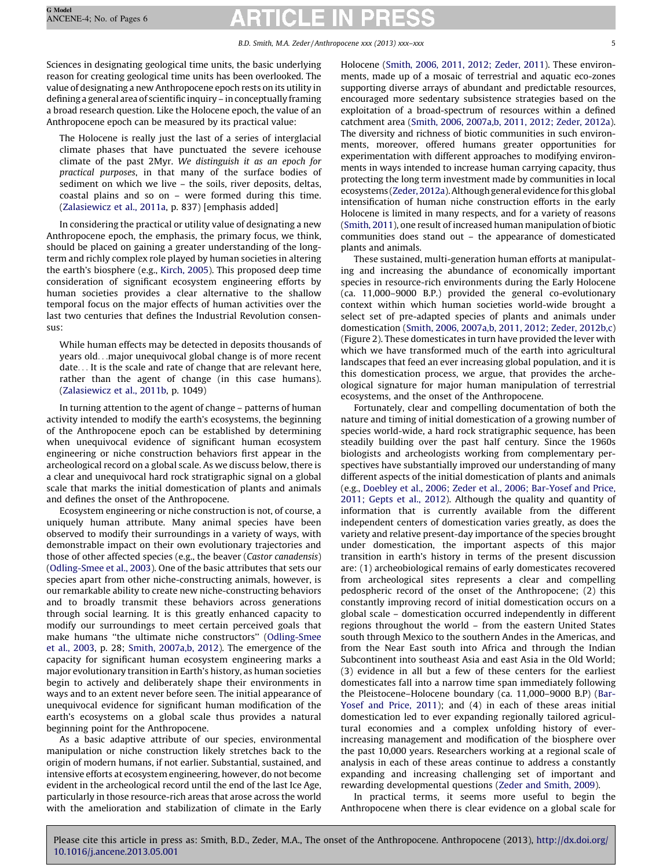### B.D. Smith, M.A. Zeder/ Anthropocene xxx (2013) xxx–xxx 5

Sciences in designating geological time units, the basic underlying reason for creating geological time units has been overlooked. The value of designating a new Anthropocene epoch rests on its utility in defining a general area of scientific inquiry– inconceptually framing a broad research question. Like the Holocene epoch, the value of an Anthropocene epoch can be measured by its practical value:

The Holocene is really just the last of a series of interglacial climate phases that have punctuated the severe icehouse climate of the past 2Myr. We distinguish it as an epoch for practical purposes, in that many of the surface bodies of sediment on which we live – the soils, river deposits, deltas, coastal plains and so on – were formed during this time. ([Zalasiewicz](#page-5-0) et al., 2011a, p. 837) [emphasis added]

In considering the practical or utility value of designating a new Anthropocene epoch, the emphasis, the primary focus, we think, should be placed on gaining a greater understanding of the longterm and richly complex role played by human societies in altering the earth's biosphere (e.g., [Kirch,](#page-5-0) 2005). This proposed deep time consideration of significant ecosystem engineering efforts by human societies provides a clear alternative to the shallow temporal focus on the major effects of human activities over the last two centuries that defines the Industrial Revolution consensus:

While human effects may be detected in deposits thousands of years old. . .major unequivocal global change is of more recent date. . . It is the scale and rate of change that are relevant here, rather than the agent of change (in this case humans). ([Zalasiewicz](#page-5-0) et al., 2011b, p. 1049)

In turning attention to the agent of change – patterns of human activity intended to modify the earth's ecosystems, the beginning of the Anthropocene epoch can be established by determining when unequivocal evidence of significant human ecosystem engineering or niche construction behaviors first appear in the archeological record on a global scale. As we discuss below, there is a clear and unequivocal hard rock stratigraphic signal on a global scale that marks the initial domestication of plants and animals and defines the onset of the Anthropocene.

Ecosystem engineering or niche construction is not, of course, a uniquely human attribute. Many animal species have been observed to modify their surroundings in a variety of ways, with demonstrable impact on their own evolutionary trajectories and those of other affected species (e.g., the beaver (Castor canadensis) ([Odling-Smee](#page-5-0) et al., 2003). One of the basic attributes that sets our species apart from other niche-constructing animals, however, is our remarkable ability to create new niche-constructing behaviors and to broadly transmit these behaviors across generations through social learning. It is this greatly enhanced capacity to modify our surroundings to meet certain perceived goals that make humans ''the ultimate niche constructors'' [\(Odling-Smee](#page-5-0) et al., [2003](#page-5-0), p. 28; Smith, [2007a,b,](#page-5-0) 2012). The emergence of the capacity for significant human ecosystem engineering marks a major evolutionary transition in Earth's history, as human societies begin to actively and deliberately shape their environments in ways and to an extent never before seen. The initial appearance of unequivocal evidence for significant human modification of the earth's ecosystems on a global scale thus provides a natural beginning point for the Anthropocene.

As a basic adaptive attribute of our species, environmental manipulation or niche construction likely stretches back to the origin of modern humans, if not earlier. Substantial, sustained, and intensive efforts at ecosystem engineering, however, do not become evident in the archeological record until the end of the last Ice Age, particularly in those resource-rich areas that arose across the world with the amelioration and stabilization of climate in the Early Holocene ([Smith,](#page-5-0) 2006, 2011, 2012; Zeder, 2011). These environments, made up of a mosaic of terrestrial and aquatic eco-zones supporting diverse arrays of abundant and predictable resources, encouraged more sedentary subsistence strategies based on the exploitation of a broad-spectrum of resources within a defined catchment area (Smith, 2006, [2007a,b,](#page-5-0) 2011, 2012; Zeder, 2012a). The diversity and richness of biotic communities in such environments, moreover, offered humans greater opportunities for experimentation with different approaches to modifying environments in ways intended to increase human carrying capacity, thus protecting the long term investment made by communities in local ecosystems (Zeder, [2012a\)](#page-5-0).Althoughgeneral evidence for this global intensification of human niche construction efforts in the early Holocene is limited in many respects, and for a variety of reasons ([Smith,](#page-5-0) 2011), one result of increased human manipulation of biotic communities does stand out – the appearance of domesticated plants and animals.

These sustained, multi-generation human efforts at manipulating and increasing the abundance of economically important species in resource-rich environments during the Early Holocene (ca. 11,000–9000 B.P.) provided the general co-evolutionary context within which human societies world-wide brought a select set of pre-adapted species of plants and animals under domestication (Smith, 2006, [2007a,b,](#page-5-0) 2011, 2012; Zeder, 2012b,c) (Figure 2). These domesticates in turn have provided the lever with which we have transformed much of the earth into agricultural landscapes that feed an ever increasing global population, and it is this domestication process, we argue, that provides the archeological signature for major human manipulation of terrestrial ecosystems, and the onset of the Anthropocene.

Fortunately, clear and compelling documentation of both the nature and timing of initial domestication of a growing number of species world-wide, a hard rock stratigraphic sequence, has been steadily building over the past half century. Since the 1960s biologists and archeologists working from complementary perspectives have substantially improved our understanding of many different aspects of the initial domestication of plants and animals (e.g., Doebley et al., 2006; Zeder et al., 2006; [Bar-Yosef](#page-5-0) and Price, 2011; [Gepts](#page-5-0) et al., 2012). Although the quality and quantity of information that is currently available from the different independent centers of domestication varies greatly, as does the variety and relative present-day importance of the species brought under domestication, the important aspects of this major transition in earth's history in terms of the present discussion are: (1) archeobiological remains of early domesticates recovered from archeological sites represents a clear and compelling pedospheric record of the onset of the Anthropocene; (2) this constantly improving record of initial domestication occurs on a global scale – domestication occurred independently in different regions throughout the world – from the eastern United States south through Mexico to the southern Andes in the Americas, and from the Near East south into Africa and through the Indian Subcontinent into southeast Asia and east Asia in the Old World; (3) evidence in all but a few of these centers for the earliest domesticates fall into a narrow time span immediately following the Pleistocene–Holocene boundary (ca. 11,000–9000 B.P) ([Bar-](#page-5-0)Yosef and [Price,](#page-5-0) 2011); and (4) in each of these areas initial domestication led to ever expanding regionally tailored agricultural economies and a complex unfolding history of everincreasing management and modification of the biosphere over the past 10,000 years. Researchers working at a regional scale of analysis in each of these areas continue to address a constantly expanding and increasing challenging set of important and rewarding developmental questions (Zeder and [Smith,](#page-5-0) 2009).

In practical terms, it seems more useful to begin the Anthropocene when there is clear evidence on a global scale for